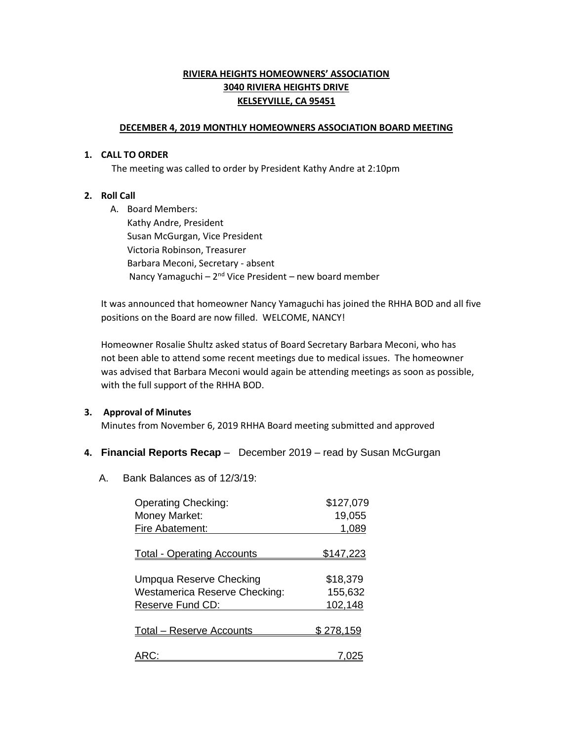# **RIVIERA HEIGHTS HOMEOWNERS' ASSOCIATION 3040 RIVIERA HEIGHTS DRIVE KELSEYVILLE, CA 95451**

### **DECEMBER 4, 2019 MONTHLY HOMEOWNERS ASSOCIATION BOARD MEETING**

#### **1. CALL TO ORDER**

The meeting was called to order by President Kathy Andre at 2:10pm

## **2. Roll Call**

A. Board Members: Kathy Andre, President Susan McGurgan, Vice President Victoria Robinson, Treasurer Barbara Meconi, Secretary - absent Nancy Yamaguchi – 2<sup>nd</sup> Vice President – new board member

 It was announced that homeowner Nancy Yamaguchi has joined the RHHA BOD and all five positions on the Board are now filled. WELCOME, NANCY!

Homeowner Rosalie Shultz asked status of Board Secretary Barbara Meconi, who has not been able to attend some recent meetings due to medical issues. The homeowner was advised that Barbara Meconi would again be attending meetings as soon as possible, with the full support of the RHHA BOD.

## **3. Approval of Minutes**

Minutes from November 6, 2019 RHHA Board meeting submitted and approved

## **4. Financial Reports Recap** – December 2019 – read by Susan McGurgan

A. Bank Balances as of 12/3/19:

| <b>Operating Checking:</b>             | \$127,079        |
|----------------------------------------|------------------|
| Money Market:                          | 19,055           |
| Fire Abatement:                        | 1,089            |
| <b>Total - Operating Accounts</b>      | <u>\$147,223</u> |
| Umpqua Reserve Checking                | \$18,379         |
| <b>Westamerica Reserve Checking:</b>   | 155,632          |
| Reserve Fund CD:                       | 102,148          |
| <u><b>Total – Reserve Accounts</b></u> | \$278.159        |
|                                        |                  |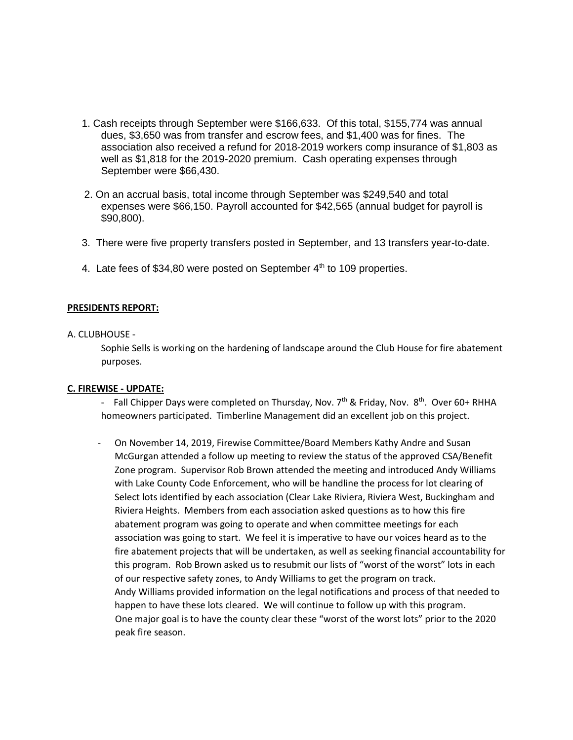- 1. Cash receipts through September were \$166,633. Of this total, \$155,774 was annual dues, \$3,650 was from transfer and escrow fees, and \$1,400 was for fines. The association also received a refund for 2018-2019 workers comp insurance of \$1,803 as well as \$1,818 for the 2019-2020 premium. Cash operating expenses through September were \$66,430.
- 2. On an accrual basis, total income through September was \$249,540 and total expenses were \$66,150. Payroll accounted for \$42,565 (annual budget for payroll is \$90,800).
- 3. There were five property transfers posted in September, and 13 transfers year-to-date.
- 4. Late fees of \$34,80 were posted on September  $4<sup>th</sup>$  to 109 properties.

## **PRESIDENTS REPORT:**

#### A. CLUBHOUSE -

Sophie Sells is working on the hardening of landscape around the Club House for fire abatement purposes.

#### **C. FIREWISE - UPDATE:**

- Fall Chipper Days were completed on Thursday, Nov. 7<sup>th</sup> & Friday, Nov. 8<sup>th</sup>. Over 60+ RHHA homeowners participated. Timberline Management did an excellent job on this project.

- On November 14, 2019, Firewise Committee/Board Members Kathy Andre and Susan McGurgan attended a follow up meeting to review the status of the approved CSA/Benefit Zone program. Supervisor Rob Brown attended the meeting and introduced Andy Williams with Lake County Code Enforcement, who will be handline the process for lot clearing of Select lots identified by each association (Clear Lake Riviera, Riviera West, Buckingham and Riviera Heights. Members from each association asked questions as to how this fire abatement program was going to operate and when committee meetings for each association was going to start. We feel it is imperative to have our voices heard as to the fire abatement projects that will be undertaken, as well as seeking financial accountability for this program. Rob Brown asked us to resubmit our lists of "worst of the worst" lots in each of our respective safety zones, to Andy Williams to get the program on track. Andy Williams provided information on the legal notifications and process of that needed to happen to have these lots cleared. We will continue to follow up with this program. One major goal is to have the county clear these "worst of the worst lots" prior to the 2020 peak fire season.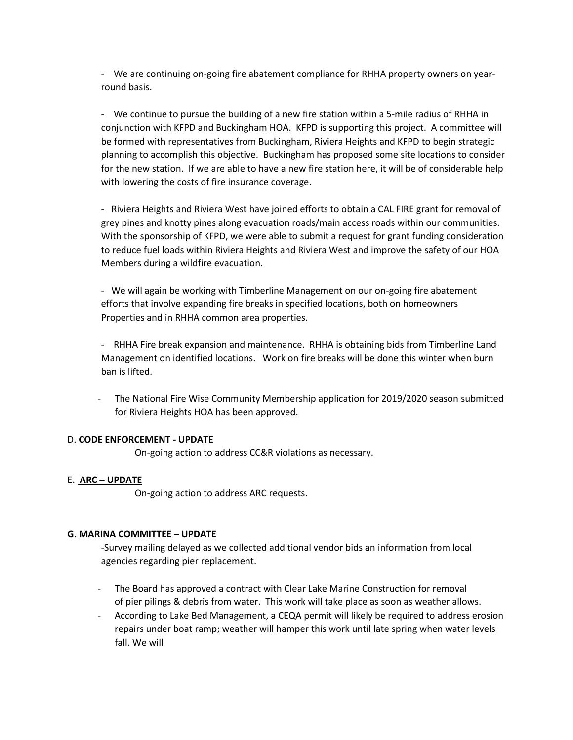- We are continuing on-going fire abatement compliance for RHHA property owners on yearround basis.

- We continue to pursue the building of a new fire station within a 5-mile radius of RHHA in conjunction with KFPD and Buckingham HOA. KFPD is supporting this project. A committee will be formed with representatives from Buckingham, Riviera Heights and KFPD to begin strategic planning to accomplish this objective. Buckingham has proposed some site locations to consider for the new station. If we are able to have a new fire station here, it will be of considerable help with lowering the costs of fire insurance coverage.

- Riviera Heights and Riviera West have joined efforts to obtain a CAL FIRE grant for removal of grey pines and knotty pines along evacuation roads/main access roads within our communities. With the sponsorship of KFPD, we were able to submit a request for grant funding consideration to reduce fuel loads within Riviera Heights and Riviera West and improve the safety of our HOA Members during a wildfire evacuation.

- We will again be working with Timberline Management on our on-going fire abatement efforts that involve expanding fire breaks in specified locations, both on homeowners Properties and in RHHA common area properties.

- RHHA Fire break expansion and maintenance. RHHA is obtaining bids from Timberline Land Management on identified locations. Work on fire breaks will be done this winter when burn ban is lifted.

- The National Fire Wise Community Membership application for 2019/2020 season submitted for Riviera Heights HOA has been approved.

## D. **CODE ENFORCEMENT - UPDATE**

On-going action to address CC&R violations as necessary.

## E. **ARC – UPDATE**

On-going action to address ARC requests.

## **G. MARINA COMMITTEE – UPDATE**

-Survey mailing delayed as we collected additional vendor bids an information from local agencies regarding pier replacement.

- The Board has approved a contract with Clear Lake Marine Construction for removal of pier pilings & debris from water. This work will take place as soon as weather allows.
- According to Lake Bed Management, a CEQA permit will likely be required to address erosion repairs under boat ramp; weather will hamper this work until late spring when water levels fall. We will